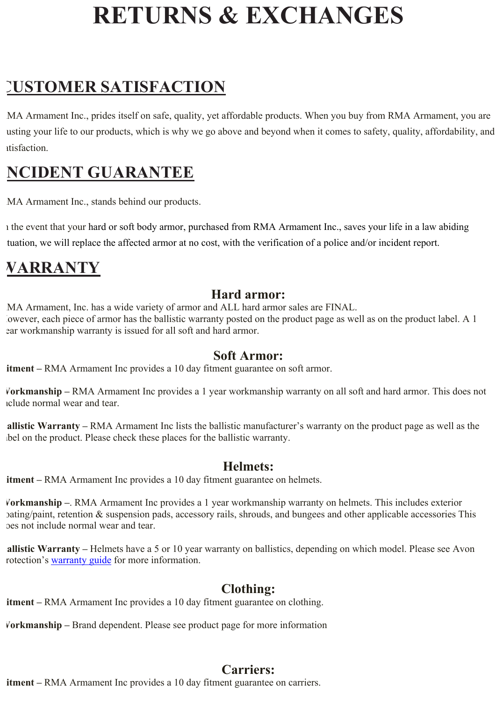# **RETURNS & EXCHANGES**

# **CUSTOMER SATISFACTION**

MA Armament Inc., prides itself on safe, quality, yet affordable products. When you buy from RMA Armament, you are usting your life to our products, which is why we go above and beyond when it comes to safety, quality, affordability, and itisfaction.

# **INCIDENT GUARANTEE**

MA Armament Inc., stands behind our products.

In the event that your hard or soft body armor, purchased from RMA Armament Inc., saves your life in a law abiding tuation, we will replace the affected armor at no cost, with the verification of a police and/or incident report.

# **WARRANTY**

### **Hard armor:**

MA Armament, Inc. has a wide variety of armor and ALL hard armor sales are FINAL. lowever, each piece of armor has the ballistic warranty posted on the product page as well as on the product label. A 1 ear workmanship warranty is issued for all soft and hard armor.

### **Soft Armor:**

**itment** – RMA Armament Inc provides a 10 day fitment guarantee on soft armor.

**Workmanship –** RMA Armament Inc provides a 1 year workmanship warranty on all soft and hard armor. This does not include normal wear and tear.

**Ballistic Warranty –** RMA Armament Inc lists the ballistic manufacturer's warranty on the product page as well as the lbel on the product. Please check these places for the ballistic warranty.

### **Helmets:**

**itment** – RMA Armament Inc provides a 10 day fitment guarantee on helmets.

**Workmanship –**. RMA Armament Inc provides a 1 year workmanship warranty on helmets. This includes exterior pating/paint, retention & suspension pads, accessory rails, shrouds, and bungees and other applicable accessories This pes not include normal wear and tear.

**Ballistic Warranty –** Helmets have a 5 or 10 year warranty on ballistics, depending on which model. Please see Avon rotection's warranty guide for more information.

### **Clothing:**

**itment** – RMA Armament Inc provides a 10 day fitment guarantee on clothing.

**Workmanship –** Brand dependent. Please see product page for more information

### **Carriers:**

**itment** – RMA Armament Inc provides a 10 day fitment guarantee on carriers.